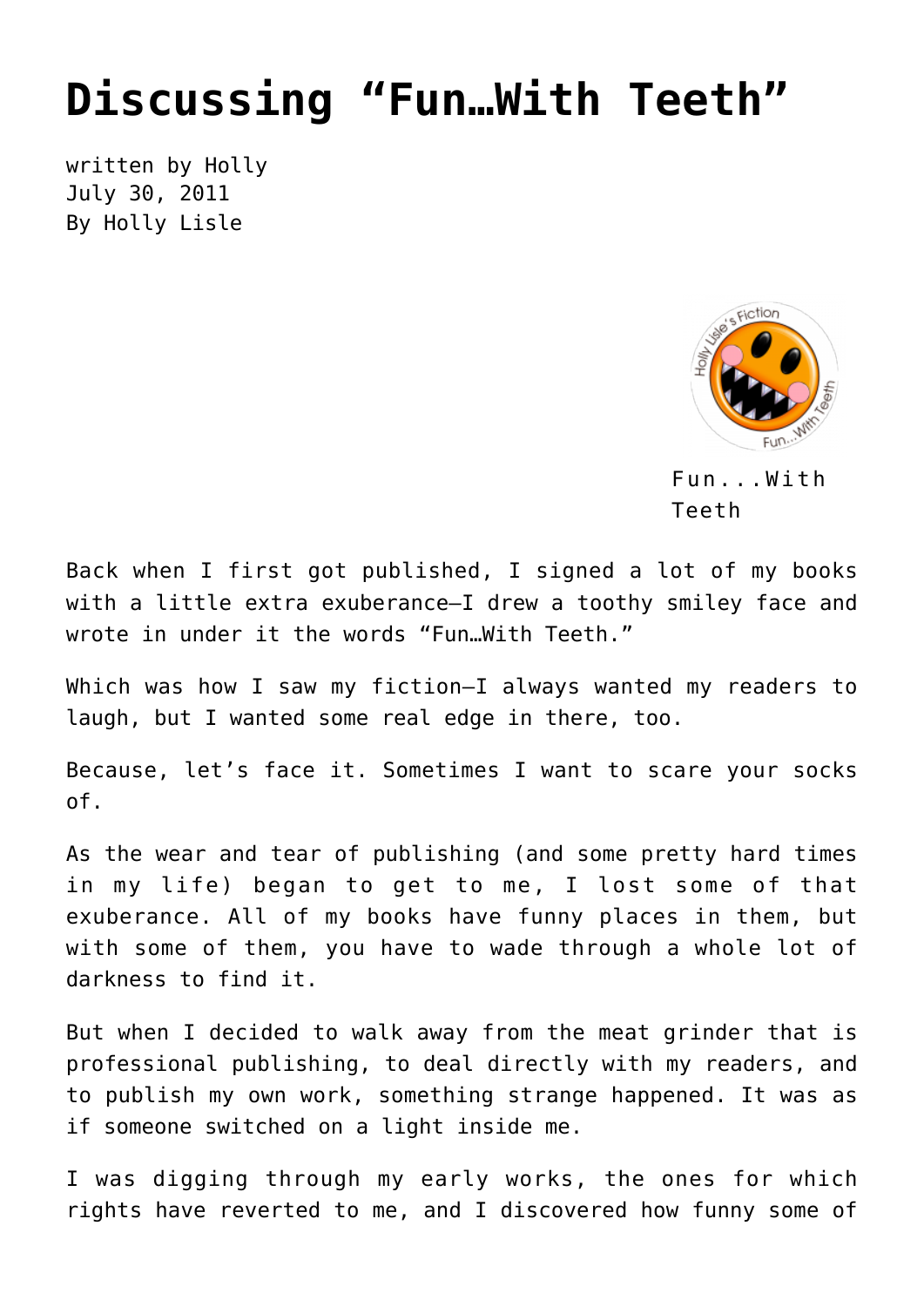## **[Discussing "Fun…With Teeth"](https://hollylisle.com/discussing-fun-with-teeth/)**

written by Holly July 30, 2011 [By Holly Lisle](https://hollylisle.com)



Fun...With Teeth

Back when I first got published, I signed a lot of my books with a little extra exuberance—I drew a toothy smiley face and wrote in under it the words "Fun…With Teeth."

Which was how I saw my fiction—I always wanted my readers to laugh, but I wanted some real edge in there, too.

Because, let's face it. Sometimes I want to scare your socks of.

As the wear and tear of publishing (and some pretty hard times in my life) began to get to me, I lost some of that exuberance. All of my books have funny places in them, but with some of them, you have to wade through a whole lot of darkness to find it.

But when I decided to walk away from the meat grinder that is professional publishing, to deal directly with my readers, and to publish my own work, something strange happened. It was as if someone switched on a light inside me.

I was digging through my early works, the ones for which rights have reverted to me, and I discovered how funny some of